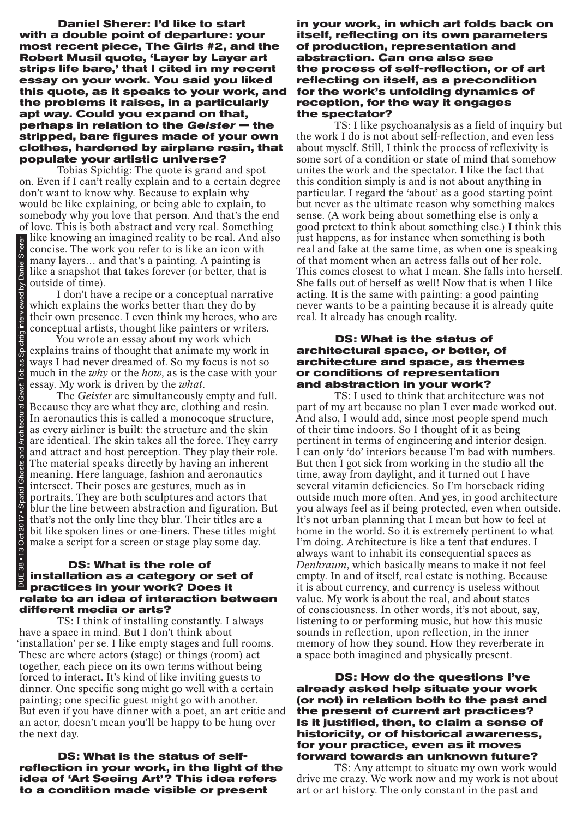**Daniel Sherer: I'd like to start with a double point of departure: your most recent piece, The Girls #2, and the Robert Musil quote, 'Layer by Layer art strips life bare,' that I cited in my recent essay on your work. You said you liked this quote, as it speaks to your work, and the problems it raises, in a particularly apt way. Could you expand on that, perhaps in relation to the** *Geister* **— the stripped, bare figures made of your own clothes, hardened by airplane resin, that populate your artistic universe?**

Tobias Spichtig: The quote is grand and spot on. Even if I can't really explain and to a certain degree don't want to know why. Because to explain why would be like explaining, or being able to explain, to somebody why you love that person. And that's the end of love. This is both abstract and very real. Something like knowing an imagined reality to be real. And also concise. The work you refer to is like an icon with many layers… and that's a painting. A painting is like a snapshot that takes forever (or better, that is outside of time).

I don't have a recipe or a conceptual narrative which explains the works better than they do by their own presence. I even think my heroes, who are conceptual artists, thought like painters or writers.

You wrote an essay about my work which explains trains of thought that animate my work in ways I had never dreamed of. So my focus is not so much in the *why* or the *how*, as is the case with your essay. My work is driven by the *what*.

The *Geister* are simultaneously empty and full. Because they are what they are, clothing and resin. In aeronautics this is called a monocoque structure, as every airliner is built: the structure and the skin are identical. The skin takes all the force. They carry and attract and host perception. They play their role. The material speaks directly by having an inherent meaning. Here language, fashion and aeronautics intersect. Their poses are gestures, much as in portraits. They are both sculptures and actors that blur the line between abstraction and figuration. But that's not the only line they blur. Their titles are a bit like spoken lines or one-liners. These titles might make a script for a screen or stage play some day. **Example in made that's a condition** and that's a paint and the stan architecture in any layers... and that's a painting. A painting is positive of the standing the standing and the standing the standing of the standing th

# **DS: What is the role of installation as a category or set of practices in your work? Does it relate to an idea of interaction between different media or arts?**

TS: I think of installing constantly. I always have a space in mind. But I don't think about 'installation' per se. I like empty stages and full rooms. These are where actors (stage) or things (room) act together, each piece on its own terms without being forced to interact. It's kind of like inviting guests to dinner. One specific song might go well with a certain painting; one specific guest might go with another. But even if you have dinner with a poet, an art critic and an actor, doesn't mean you'll be happy to be hung over the next day.

**DS: What is the status of selfreflection in your work, in the light of the idea of 'Art Seeing Art'? This idea refers** 

**in your work, in which art folds back on itself, reflecting on its own parameters of production, representation and abstraction. Can one also see the process of self-reflection, or of art reflecting on itself, as a precondition for the work's unfolding dynamics of reception, for the way it engages the spectator?**

TS: I like psychoanalysis as a field of inquiry but the work I do is not about self-reflection, and even less about myself. Still, I think the process of reflexivity is some sort of a condition or state of mind that somehow unites the work and the spectator. I like the fact that this condition simply is and is not about anything in particular. I regard the 'about' as a good starting point but never as the ultimate reason why something makes sense. (A work being about something else is only a good pretext to think about something else.) I think this just happens, as for instance when something is both real and fake at the same time, as when one is speaking of that moment when an actress falls out of her role. This comes closest to what I mean. She falls into herself. She falls out of herself as well! Now that is when I like acting. It is the same with painting: a good painting never wants to be a painting because it is already quite real. It already has enough reality.

#### **DS: What is the status of architectural space, or better, of architecture and space, as themes or conditions of representation and abstraction in your work?**

TS: I used to think that architecture was not part of my art because no plan I ever made worked out. And also, I would add, since most people spend much of their time indoors. So I thought of it as being pertinent in terms of engineering and interior design. I can only 'do' interiors because I'm bad with numbers. But then I got sick from working in the studio all the time, away from daylight, and it turned out I have several vitamin deficiencies. So I'm horseback riding outside much more often. And yes, in good architecture you always feel as if being protected, even when outside. It's not urban planning that I mean but how to feel at home in the world. So it is extremely pertinent to what I'm doing. Architecture is like a tent that endures. I always want to inhabit its consequential spaces as *Denkraum*, which basically means to make it not feel empty. In and of itself, real estate is nothing. Because it is about currency, and currency is useless without value. My work is about the real, and about states of consciousness. In other words, it's not about, say, listening to or performing music, but how this music sounds in reflection, upon reflection, in the inner memory of how they sound. How they reverberate in a space both imagined and physically present.

## **DS: How do the questions I've already asked help situate your work (or not) in relation both to the past and the present of current art practices? Is it justified, then, to claim a sense of historicity, or of historical awareness, for your practice, even as it moves forward towards an unknown future?**

TS: Any attempt to situate my own work would drive me crazy. We work now and my work is not about art or art history. The only constant in the past and